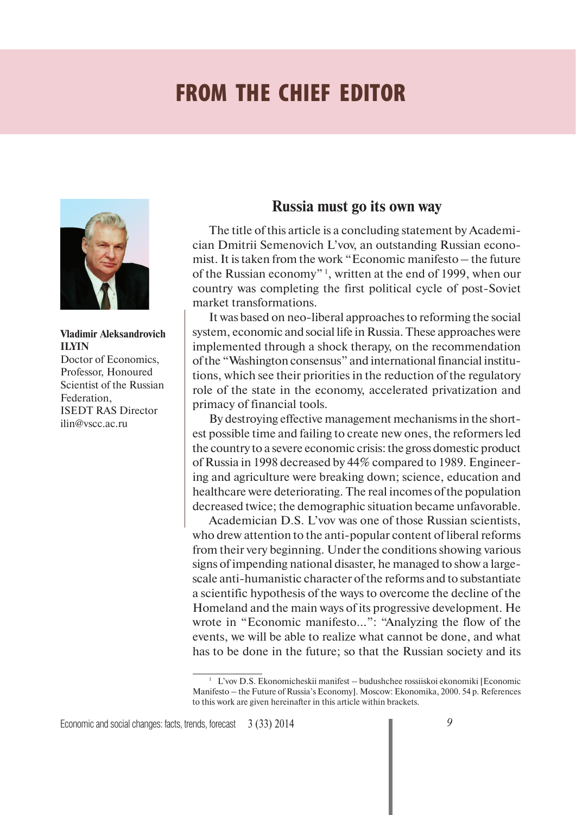## **FROM THE CHIEF EDITOR**



**Vladimir Aleksandrovich ILYIN** Doctor of Economics, Professor, Honoured Scientist of the Russian Federation, ISEDT RAS Director ilin@vscc.ac.ru

## **Russia must go its own way**

The title of this article is a concluding statement by Academician Dmitrii Semenovich L'vov, an outstanding Russian economist. It is taken from the work "Economic manifesto – the future of the Russian economy" 1, written at the end of 1999, when our country was completing the first political cycle of post-Soviet market transformations.

It was based on neo-liberal approaches to reforming the social system, economic and social life in Russia. These approaches were implemented through a shock therapy, on the recommendation of the "Washington consensus" and international financial institutions, which see their priorities in the reduction of the regulatory role of the state in the economy, accelerated privatization and primacy of financial tools.

By destroying effective management mechanisms in the shortest possible time and failing to create new ones, the reformers led the country to a severe economic crisis: the gross domestic product of Russia in 1998 decreased by 44% compared to 1989. Engineering and agriculture were breaking down; science, education and healthcare were deteriorating. The real incomes of the population decreased twice; the demographic situation became unfavorable.

Academician D.S. L'vov was one of those Russian scientists, who drew attention to the anti-popular content of liberal reforms from their very beginning. Under the conditions showing various signs of impending national disaster, he managed to show a largescale anti-humanistic character of the reforms and to substantiate a scientific hypothesis of the ways to overcome the decline of the Homeland and the main ways of its progressive development. He wrote in "Economic manifesto...": "Analyzing the flow of the events, we will be able to realize what cannot be done, and what has to be done in the future; so that the Russian society and its

<sup>&</sup>lt;sup>1</sup> L'vov D.S. Ekonomicheskii manifest – budushchee rossiiskoi ekonomiki [Economic Manifesto – the Future of Russia's Economy]. Moscow: Ekonomika, 2000. 54 p. References to this work are given hereinafter in this article within brackets.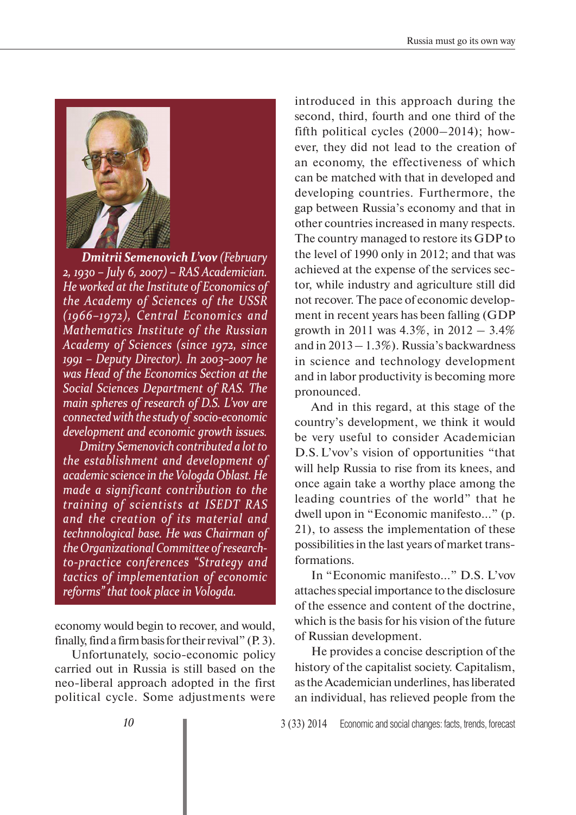

*Dmitrii Semenovich L'vov mitrii Semenovich (February (February 2, 1930 – July 6, 2007) – RAS Academician. , 1930 – July 6, 2007) – RAS Academician. He worked at the Institute of Economics of e worked at the Institute of Economics of the Academy of Sciences of the USSR he Academy of Sciences of the USSR (1966–1972), Central Economics and 1966–1972), Central Economics and Mathematics Institute of the Russian athematics Institute of the Russian Academy of Sciences (since 1972, since cademy of Sciences (since 1972, since 1991 – Deputy Director). In 2003–2007 he was Head of the Economics Section at the as Head of the Economics Section at the Social Sciences Department of RAS. The ocial Sciences Department of RAS. The main spheres of research of D.S. L'vov are connected with the study of socio-economic onnectedwith the study of socio-economic development and economic growth issues. evelopment and economic growth issues. Dmitry Semenovich contributed a lot to mitry Semenovich contributed a lotto the establishment and development of he establishment and development of academic science in the Vologda Oblast. He cademic science in theVologda Oblast. He made a significant contribution to the ade a significant contribution to the training of scientists at ISEDT RAS raining of scientists at ISEDT RAS and the creation of its material and nd the creation of its material and technnological base. He was Chairman of echnnological base. He was Chairman of the Organizational Committee of research- he Organizational Committee ofresearchto-practice conferences "Strategy and o-practice conferences "Strategy and tactics of implementation of economic actics of implementation of economic reforms" that took place in Vologda. eforms" that took place in*

economy would begin to recover, and would, finally, find a firm basis for their revival" (P. 3).

Unfortunately, socio-economic policy carried out in Russia is still based on the neo-liberal approach adopted in the first political cycle. Some adjustments were

introduced in this approach during the second, third, fourth and one third of the fifth political cycles (2000–2014); however, they did not lead to the creation of an economy, the effectiveness of which can be matched with that in developed and developing countries. Furthermore, the gap between Russia's economy and that in other countries increased in many respects. The country managed to restore its GDP to the level of 1990 only in 2012; and that was achieved at the expense of the services sector, while industry and agriculture still did not recover. The pace of economic development in recent years has been falling (GDP growth in 2011 was 4.3%, in 2012 – 3.4% and in  $2013 - 1.3\%$ ). Russia's backwardness in science and technology development and in labor productivity is becoming more pronounced.

And in this regard, at this stage of the country's development, we think it would be very useful to consider Academician D.S. L'vov's vision of opportunities "that will help Russia to rise from its knees, and once again take a worthy place among the leading countries of the world" that he dwell upon in "Economic manifesto..." (p. 21), to assess the implementation of these possibilities in the last years of market transformations.

In "Economic manifesto..." D.S. L'vov attaches special importance to the disclosure of the essence and content of the doctrine, which is the basis for his vision of the future of Russian development.

He provides a concise description of the history of the capitalist society. Capitalism, as the Academician underlines, has liberated an individual, has relieved people from the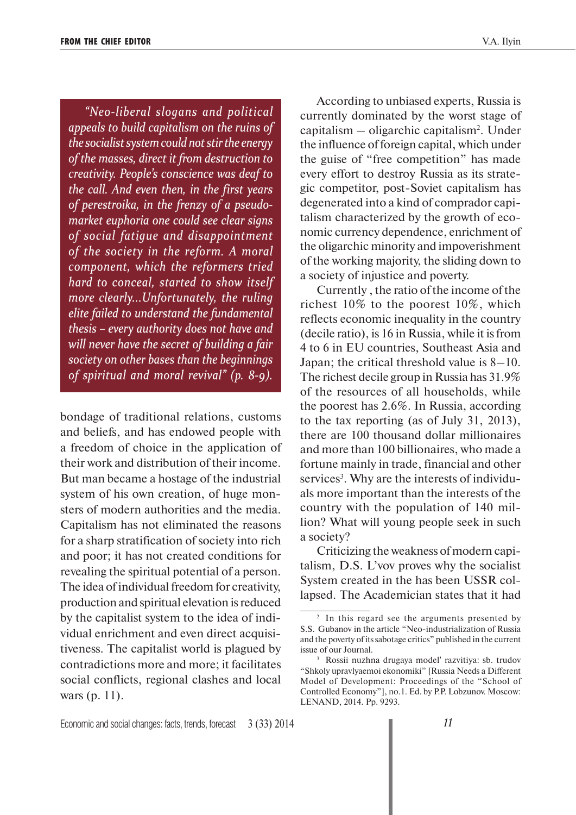*"Neo-liberal slogans and political Neo-liberal slogans and political appeals to build capitalism on the ruins of ppeals to build capitalism on the ruins of the socialist system could not stir the energy he socialist system could not stirthe energy of the masses, direct it from destruction to f the masses, direct it from destruction to creativity. People's conscience was deaf to reativity. People's conscience was deaf to the call. And even then, in the first years he call. And even then, in the first years of perestroika, in the frenzy of a pseudo- f perestroika, in the frenzy of a pseudomarket euphoria one could see clear signs arket euphoria one could see clear signs of social fatigue and disappointment f social fatigue and disappointment of the society in the reform. A moral f the society in the reform. A moral component, which the reformers tried omponent, which the reformers tried hard to conceal, started to show itself ard to conceal, started to show itself more clearly...Unfortunately, the ruling elite failed to understand the fundamental lite failed to understand the fundamental thesis – every authority does not have and hesis – every authority does not have and will never have the secret of building a fair ill never have the secret of building a fair society on other bases than the beginnings ociety on other bases than the beginnings of spiritual and moral revival" (p. 8-9). f spiritual and moral revival" (p.*

bondage of traditional relations, customs and beliefs, and has endowed people with a freedom of choice in the application of their work and distribution of their income. But man became a hostage of the industrial system of his own creation, of huge monsters of modern authorities and the media. Capitalism has not eliminated the reasons for a sharp stratification of society into rich and poor; it has not created conditions for revealing the spiritual potential of a person. The idea of individual freedom for creativity, production and spiritual elevation is reduced by the capitalist system to the idea of individual enrichment and even direct acquisitiveness. The capitalist world is plagued by contradictions more and more; it facilitates social conflicts, regional clashes and local wars (p. 11).

According to unbiased experts, Russia is currently dominated by the worst stage of capitalism - oligarchic capitalism<sup>2</sup>. Under the influence of foreign capital, which under the guise of "free competition" has made every effort to destroy Russia as its strategic competitor, post-Soviet capitalism has degenerated into a kind of comprador capitalism characterized by the growth of economic currency dependence, enrichment of the oligarchic minority and impoverishment of the working majority, the sliding down to a society of injustice and poverty.

Currently , the ratio of the income of the richest 10% to the poorest 10%, which reflects economic inequality in the country (decile ratio), is 16 in Russia, while it is from 4 to 6 in EU countries, Southeast Asia and Japan; the critical threshold value is 8–10. The richest decile group in Russia has 31.9% of the resources of all households, while the poorest has 2.6%. In Russia, according to the tax reporting (as of July 31, 2013), there are 100 thousand dollar millionaires and more than 100 billionaires, who made a fortune mainly in trade, financial and other services<sup>3</sup>. Why are the interests of individuals more important than the interests of the country with the population of 140 million? What will young people seek in such a society?

Criticizing the weakness of modern capitalism, D.S. L'vov proves why the socialist System created in the has been USSR collapsed. The Academician states that it had

<sup>&</sup>lt;sup>2</sup> In this regard see the arguments presented by S.S. Gubanov in the article "Neo-industrialization of Russia and the poverty of its sabotage critics" published in the current issue of our Journal.

<sup>3</sup> Rossii nuzhna drugaya model' razvitiya: sb. trudov "Shkoly upravlyaemoi ekonomiki" [Russia Needs a Different Model of Development: Proceedings of the "School of Controlled Economy"], no.1. Ed. by P.P. Lobzunov. Moscow: LENAND, 2014. Pp. 9293.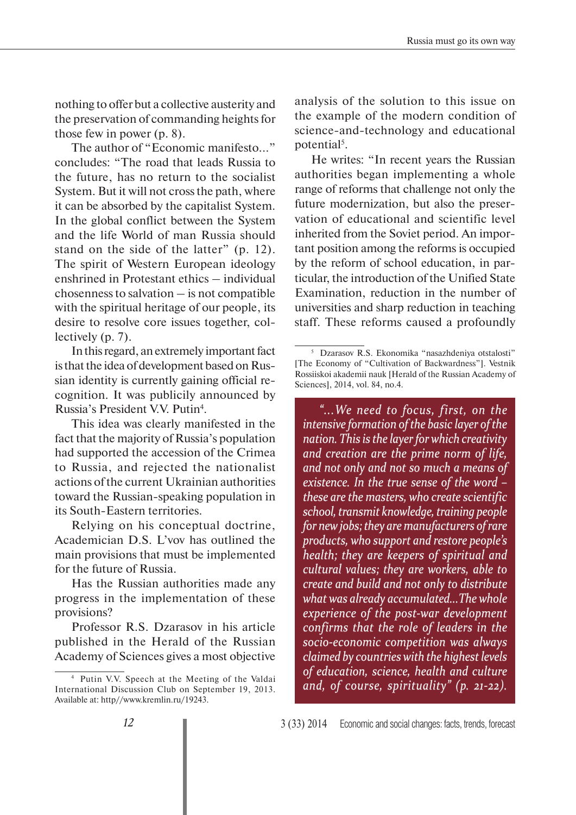nothing to offer but a collective austerity and the preservation of commanding heights for those few in power (p. 8).

The author of "Economic manifesto..." concludes: "The road that leads Russia to the future, has no return to the socialist System. But it will not cross the path, where it can be absorbed by the capitalist System. In the global conflict between the System and the life World of man Russia should stand on the side of the latter" (p. 12). The spirit of Western European ideology enshrined in Protestant ethics – individual chosenness to salvation – is not compatible with the spiritual heritage of our people, its desire to resolve core issues together, collectively (p. 7).

In this regard, an extremely important fact is that the idea of development based on Russian identity is currently gaining official recognition. It was publicily announced by Russia's President V.V. Putin<sup>4</sup>.

This idea was clearly manifested in the fact that the majority of Russia's population had supported the accession of the Crimea to Russia, and rejected the nationalist actions of the current Ukrainian authorities toward the Russian-speaking population in its South-Eastern territories.

Relying on his conceptual doctrine, Academician D.S. L'vov has outlined the main provisions that must be implemented for the future of Russia.

Has the Russian authorities made any progress in the implementation of these provisions?

Professor R.S. Dzarasov in his article published in the Herald of the Russian Academy of Sciences gives a most objective

analysis of the solution to this issue on the example of the modern condition of science-and-technology and educational potential<sup>5</sup>.

He writes: "In recent years the Russian authorities began implementing a whole range of reforms that challenge not only the future modernization, but also the preservation of educational and scientific level inherited from the Soviet period. An important position among the reforms is occupied by the reform of school education, in particular, the introduction of the Unified State Examination, reduction in the number of universities and sharp reduction in teaching staff. These reforms caused a profoundly

*"...We need to focus, first, on the ...We need to focus, first, on the intensive formation of the basic layer of the ntensive formation of the basic layer of the nation. This is the layer for which creativity ation. This is the layerfor which creativity and creation are the prime norm of life, nd creation are the prime norm of life, and not only and not so much a means of nd not only and not so much a means of existence. In the true sense of the word – xistence. In the true sense of the word – these are the masters, who create scientific hese are the masters, who create scientific school, transmit knowledge, training people chool,transmit knowledge,training people for new jobs; they are manufacturers of rare products, who support and restore people's roducts, who support and restore people's health; they are keepers of spiritual and cultural values; they are workers, able to ultural values; they are workers, able to create and build and not only to distribute reate and build and not only to distribute what was already accumulated...The whole hat was already accumulated...The whole experience of the post-war development xperience of the post-war development confirms that the role of leaders in the onfirms that the role of leaders in the socio-economic competition was always ocio-economic competition was always claimed by countries with the highest levels laimed by countries with the highestlevels of education, science, health and culture f education, science, health and culture and, of course, spirituality" (p. 21-22).* 

Putin V.V. Speech at the Meeting of the Valdai International Discussion Club on September 19, 2013. Available at: http//www.kremlin.ru/19243.

<sup>5</sup> Dzarasov R.S. Ekonomika "nasazhdeniya otstalosti" [The Economy of "Cultivation of Backwardness"]. Vestnik Rossiiskoi akademii nauk [Herald of the Russian Academy of Sciences], 2014, vol. 84, no.4.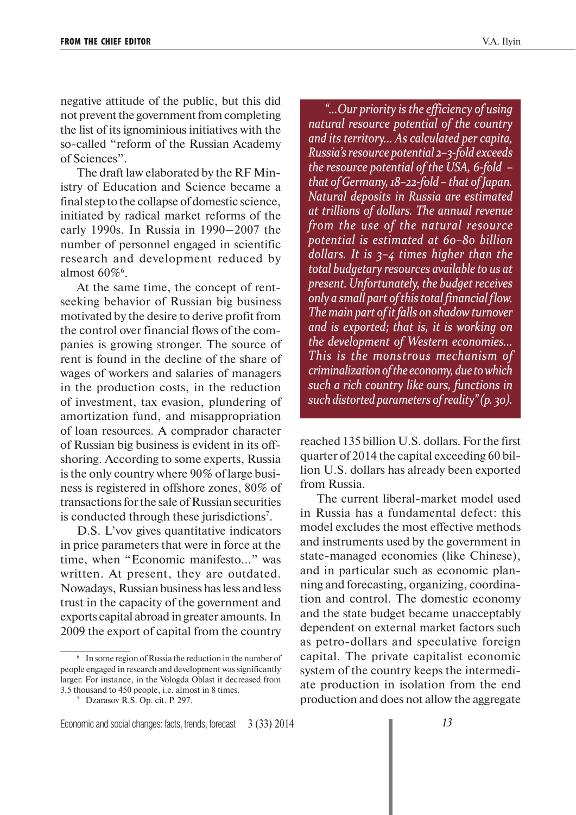negative attitude of the public, but this did not prevent the government from completing the list of its ignominious initiatives with the so-called "reform of the Russian Academy of Sciences".

The draft law elaborated by the RF Ministry of Education and Science became a final step to the collapse of domestic science, initiated by radical market reforms of the early 1990s. In Russia in 1990–2007 the number of personnel engaged in scientific research and development reduced by almost  $60\%$ <sup>6</sup>.

At the same time, the concept of rentseeking behavior of Russian big business motivated by the desire to derive profit from the control over financial flows of the companies is growing stronger. The source of rent is found in the decline of the share of wages of workers and salaries of managers in the production costs, in the reduction of investment, tax evasion, plundering of amortization fund, and misappropriation of loan resources. A comprador character of Russian big business is evident in its offshoring. According to some experts, Russia is the only country where 90% of large business is registered in offshore zones, 80% of transactions for the sale of Russian securities is conducted through these jurisdictions<sup>7</sup>.

D.S. L'vov gives quantitative indicators in price parameters that were in force at the time, when "Economic manifesto..." was written. At present, they are outdated. Nowadays, Russian business has less and less trust in the capacity of the government and exports capital abroad in greater amounts. In 2009 the export of capital from the country

*"...Our priority is the efficiency of using ...Our priority is the efficiency of using natural resource potential of the country atural resource potential of the country and its territory... As calculated per capita, nd its territory... As calculated per capita, Russia's resource potential 2–3-fold exceeds ussia's resource potential 2–3-fold exceeds the resource potential of the USA, 6-fold – he resource potential of the USA, 6-fold – that of Germany, 18–22-fold – that of Japan. hat of Germany, 18–22-fold – that of Japan. Natural deposits in Russia are estimated atural deposits in Russia are estimated at trillions of dollars. The annual revenue t trillions of dollars. The annual revenue from the use of the natural resource rom the use of the natural resource potential is estimated at 60–80 billion otential is estimated at 60–80 billion dollars. It is 3–4 times higher than the ollars. It is 3–4 times higher than the total budgetary resources available to us at otal budgetary resources available to us at present. Unfortunately, the budget receives resent. Unfortunately, the budgetreceives only a small part of this total financial flow. nly a small part ofthis total financial flow. The main part of it falls on shadow turnover he main part of itfalls on shadowturnover and is exported; that is, it is working on nd is exported; that is, it is working on the development of Western economies... he development of Western This is the monstrous mechanism of his is the monstrous mechanism of criminalization of the economy, due to which riminalizationofthe economy,due towhich such a rich country like ours, functions in uch a rich country like ours, functions in such distorted parameters of reality" (p. 30) uch distorted parameters ofreality"(p. 30).*

reached 135 billion U.S. dollars. For the first quarter of 2014 the capital exceeding 60 billion U.S. dollars has already been exported from Russia.

The current liberal-market model used in Russia has a fundamental defect: this model excludes the most effective methods and instruments used by the government in state-managed economies (like Chinese), and in particular such as economic planning and forecasting, organizing, coordination and control. The domestic economy and the state budget became unacceptably dependent on external market factors such as petro-dollars and speculative foreign capital. The private capitalist economic system of the country keeps the intermediate production in isolation from the end production and does not allow the aggregate

<sup>6</sup> In some region of Russia the reduction in the number of people engaged in research and development was significantly larger. For instance, in the Vologda Oblast it decreased from 3.5 thousand to 450 people, i.e. almost in 8 times.

<sup>7</sup> Dzarasov R.S. Op. cit. P. 297.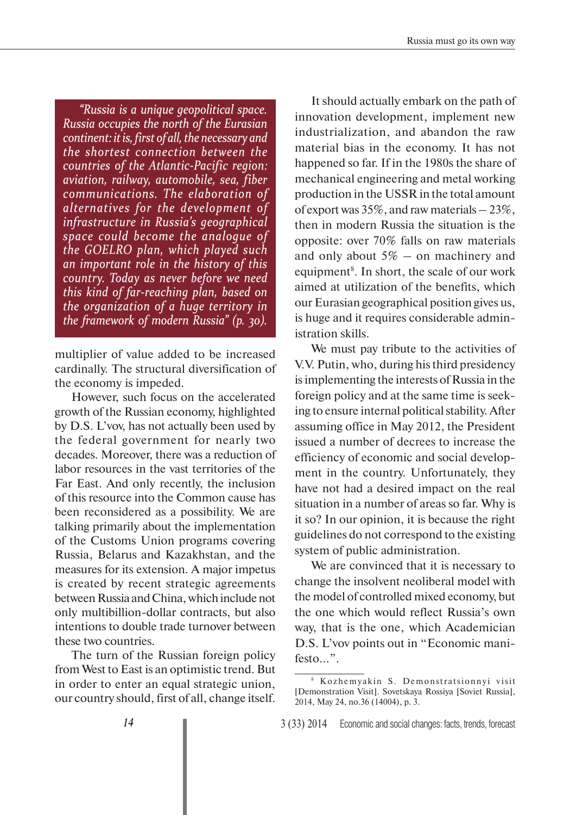*"Russia is a unique geopolitical space. Russia is a unique geopolitical space. Russia occupies the north of the Eurasian continent: it is, first of ontinent: itis, first of all, the necessary and all,the necessary and the shortest connection between the he shortest connection between the countries of the Atlantic-Pacific region: aviation, railway, automobile, sea, fiber viation, railway, automobile, sea, fiber communications. The elaboration of ommunications. The elaboration of alternatives for the development of lternatives for the development of infrastructure in Russia's geographical nfrastructure in Russia's geographical space could become the analogue of pace could become the analogue of the GOELRO plan, which played such he GOELRO plan, which played such an important role in the history of this n important role in the history of this country. Today as never before we need ountry. Today as never before we need this kind of far-reaching plan, based on his kind of far-reaching plan, based on the organization of a huge territory in he organization of a huge territory in the framework of modern Russia" (p. 30).* 

multiplier of value added to be increased cardinally. The structural diversification of the economy is impeded.

However, such focus on the accelerated growth of the Russian economy, highlighted by D.S. L'vov, has not actually been used by the federal government for nearly two decades. Moreover, there was a reduction of labor resources in the vast territories of the Far East. And only recently, the inclusion of this resource into the Common cause has been reconsidered as a possibility. We are talking primarily about the implementation of the Customs Union programs covering Russia, Belarus and Kazakhstan, and the measures for its extension. A major impetus is created by recent strategic agreements between Russia and China, which include not only multibillion-dollar contracts, but also intentions to double trade turnover between these two countries.

The turn of the Russian foreign policy from West to East is an optimistic trend. But in order to enter an equal strategic union, our country should, first of all, change itself.

It should actually embark on the path of innovation development, implement new industrialization, and abandon the raw material bias in the economy. It has not happened so far. If in the 1980s the share of mechanical engineering and metal working production in the USSR in the total amount of export was 35%, and raw materials – 23%, then in modern Russia the situation is the opposite: over 70% falls on raw materials and only about  $5\%$  – on machinery and equipment<sup>8</sup>. In short, the scale of our work aimed at utilization of the benefits, which our Eurasian geographical position gives us, is huge and it requires considerable administration skills.

We must pay tribute to the activities of V.V. Putin, who, during his third presidency is implementing the interests of Russia in the foreign policy and at the same time is seeking to ensure internal political stability. After assuming office in May 2012, the President issued a number of decrees to increase the efficiency of economic and social development in the country. Unfortunately, they have not had a desired impact on the real situation in a number of areas so far. Why is it so? In our opinion, it is because the right guidelines do not correspond to the existing system of public administration.

We are convinced that it is necessary to change the insolvent neoliberal model with the model of controlled mixed economy, but the one which would reflect Russia's own way, that is the one, which Academician D.S. L'vov points out in "Economic manifesto...".

<sup>&</sup>lt;sup>8</sup> Kozhemyakin S. Demonstratsionnyi visit [Demonstration Visit]. Sovetskaya Rossiya [Soviet Russia], 2014, May 24, no.36 (14004), p. 3.